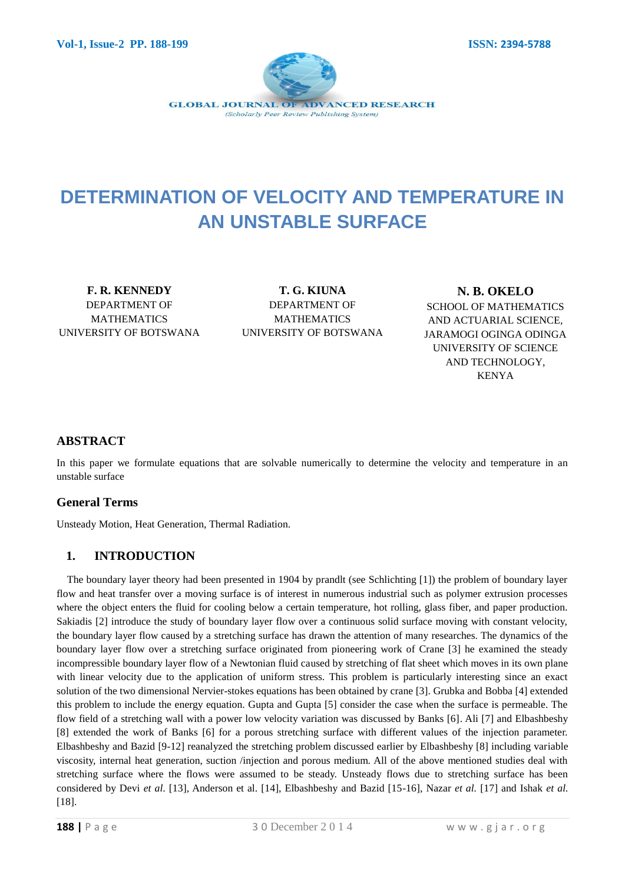

# **DETERMINATION OF VELOCITY AND TEMPERATURE IN AN UNSTABLE SURFACE**

**F. R. KENNEDY**  DEPARTMENT OF MATHEMATICS UNIVERSITY OF BOTSWANA

**T. G. KIUNA** DEPARTMENT OF MATHEMATICS UNIVERSITY OF BOTSWANA

**N. B. OKELO** SCHOOL OF MATHEMATICS AND ACTUARIAL SCIENCE, JARAMOGI OGINGA ODINGA UNIVERSITY OF SCIENCE AND TECHNOLOGY, KENYA

# **ABSTRACT**

In this paper we formulate equations that are solvable numerically to determine the velocity and temperature in an unstable surface

# **General Terms**

Unsteady Motion, Heat Generation, Thermal Radiation.

# **1. INTRODUCTION**

The boundary layer theory had been presented in 1904 by prandlt (see Schlichting [1]) the problem of boundary layer flow and heat transfer over a moving surface is of interest in numerous industrial such as polymer extrusion processes where the object enters the fluid for cooling below a certain temperature, hot rolling, glass fiber, and paper production. Sakiadis [2] introduce the study of boundary layer flow over a continuous solid surface moving with constant velocity, the boundary layer flow caused by a stretching surface has drawn the attention of many researches. The dynamics of the boundary layer flow over a stretching surface originated from pioneering work of Crane [3] he examined the steady incompressible boundary layer flow of a Newtonian fluid caused by stretching of flat sheet which moves in its own plane with linear velocity due to the application of uniform stress. This problem is particularly interesting since an exact solution of the two dimensional Nervier-stokes equations has been obtained by crane [3]. Grubka and Bobba [4] extended this problem to include the energy equation. Gupta and Gupta [5] consider the case when the surface is permeable. The flow field of a stretching wall with a power low velocity variation was discussed by Banks [6]. Ali [7] and Elbashbeshy [8] extended the work of Banks [6] for a porous stretching surface with different values of the injection parameter. Elbashbeshy and Bazid [9-12] reanalyzed the stretching problem discussed earlier by Elbashbeshy [8] including variable viscosity, internal heat generation, suction /injection and porous medium. All of the above mentioned studies deal with stretching surface where the flows were assumed to be steady. Unsteady flows due to stretching surface has been considered by Devi *et al*. [13], Anderson et al. [14], Elbashbeshy and Bazid [15-16], Nazar *et al.* [17] and Ishak *et al.* [18].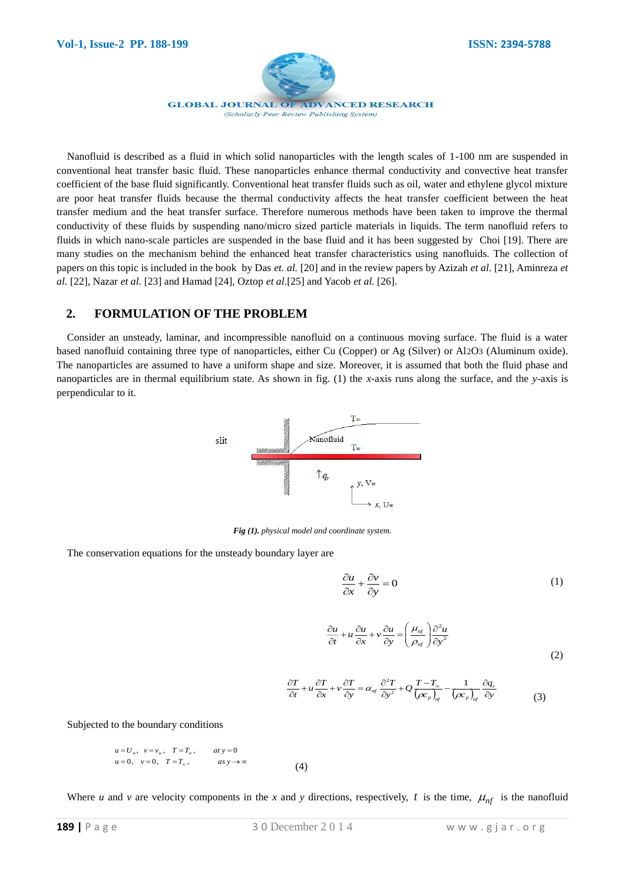

**GLOBAL JOURNAL OF ADVANCED RESEARCH** (Scholarly Peer Review Publishing System)

Nanofluid is described as a fluid in which solid nanoparticles with the length scales of 1-100 nm are suspended in conventional heat transfer basic fluid. These nanoparticles enhance thermal conductivity and convective heat transfer coefficient of the base fluid significantly. Conventional heat transfer fluids such as oil, water and ethylene glycol mixture are poor heat transfer fluids because the thermal conductivity affects the heat transfer coefficient between the heat transfer medium and the heat transfer surface. Therefore numerous methods have been taken to improve the thermal conductivity of these fluids by suspending nano/micro sized particle materials in liquids. The term nanofluid refers to fluids in which nano-scale particles are suspended in the base fluid and it has been suggested by Choi [19]. There are many studies on the mechanism behind the enhanced heat transfer characteristics using nanofluids. The collection of papers on this topic is included in the book by Das *et. al.* [20] and in the review papers by Azizah *et al*. [21], Aminreza *et al.* [22], Nazar *et al.* [23] and Hamad [24], Oztop *et al*.[25] and Yacob *et al.* [26].

## **2. FORMULATION OF THE PROBLEM**

Consider an unsteady, laminar, and incompressible nanofluid on a continuous moving surface. The fluid is a water based nanofluid containing three type of nanoparticles, either Cu (Copper) or Ag (Silver) or Al2O3 (Aluminum oxide). The nanoparticles are assumed to have a uniform shape and size. Moreover, it is assumed that both the fluid phase and nanoparticles are in thermal equilibrium state. As shown in fig. (1) the *x-*axis runs along the surface, and the *y*-axis is perpendicular to it.



*Fig (1). physical model and coordinate system.*

The conservation equations for the unsteady boundary layer are

$$
\frac{\partial u}{\partial x} + \frac{\partial v}{\partial y} = 0 \tag{1}
$$

$$
\frac{\partial u}{\partial t} + u \frac{\partial u}{\partial x} + v \frac{\partial u}{\partial y} = \left(\frac{\mu_{\eta f}}{\rho_{\eta f}}\right) \frac{\partial^2 u}{\partial y^2}
$$
\n(2)

$$
\frac{\partial T}{\partial t} + u \frac{\partial T}{\partial x} + v \frac{\partial T}{\partial y} = \alpha_{nf} \frac{\partial^2 T}{\partial y^2} + Q \frac{T - T_{\infty}}{(\rho c_p)_{nf}} - \frac{1}{(\rho c_p)_{nf}} \frac{\partial q_r}{\partial y}
$$
(3)

Subjected to the boundary conditions

$$
u = U_w, \quad v = v_w, \quad T = T_w, \quad \text{at } y = 0
$$
  

$$
u = 0, \quad v = 0, \quad T = T_w, \quad \text{as } y \to \infty
$$
  
(4)

Where *u* and *v* are velocity components in the *x* and *y* directions, respectively, *t* is the time,  $\mu_{nf}$  is the nanofluid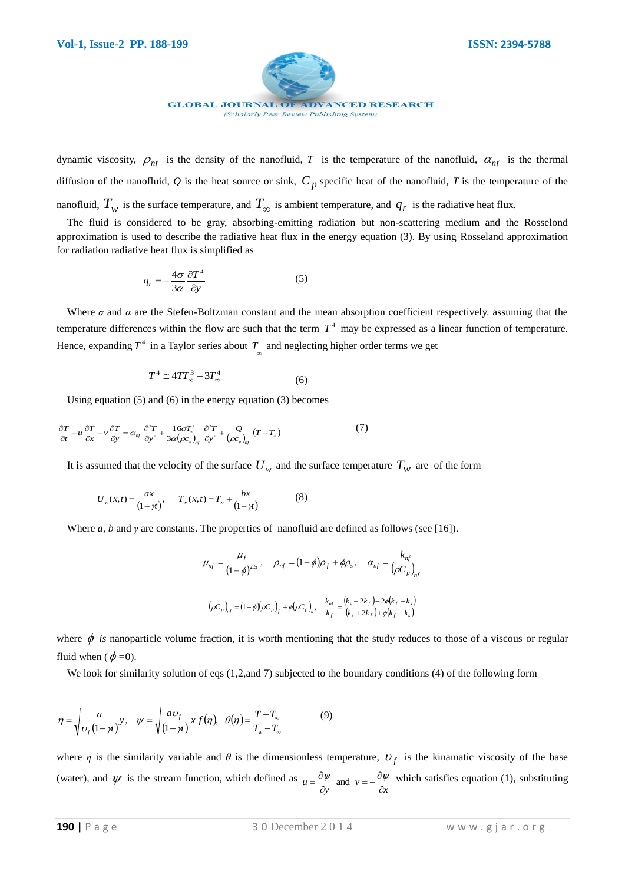

dynamic viscosity,  $\rho_{nf}$  is the density of the nanofluid, *T* is the temperature of the nanofluid,  $\alpha_{nf}$  is the thermal diffusion of the nanofluid*, Q* is the heat source or sink, *C <sup>p</sup>* specific heat of the nanofluid, *T* is the temperature of the nanofluid,  $T_w$  is the surface temperature, and  $T_\infty$  is ambient temperature, and  $q_r$  is the radiative heat flux.

The fluid is considered to be gray, absorbing-emitting radiation but non-scattering medium and the Rosselond approximation is used to describe the radiative heat flux in the energy equation (3). By using Rosseland approximation for radiation radiative heat flux is simplified as

$$
q_r = -\frac{4\sigma}{3\alpha} \frac{\partial T^4}{\partial y} \tag{5}
$$

Where  $\sigma$  and  $\alpha$  are the Stefen-Boltzman constant and the mean absorption coefficient respectively. assuming that the temperature differences within the flow are such that the term  $T<sup>4</sup>$  may be expressed as a linear function of temperature. Hence, expanding  $T^4$  in a Taylor series about  $T_{\infty}$  and neglecting higher order terms we get

$$
T^4 \cong 4TT_\infty^3 - 3T_\infty^4 \tag{6}
$$

Using equation (5) and (6) in the energy equation (3) becomes

$$
\frac{\partial T}{\partial t} + u \frac{\partial T}{\partial x} + v \frac{\partial T}{\partial y} = \alpha_{nf} \frac{\partial^2 T}{\partial y^2} + \frac{16\sigma T_*^3}{3\alpha (\alpha_r)_{nf}} \frac{\partial^2 T}{\partial y^2} + \frac{Q}{(\alpha_r)_{nf}} (T - T_*)
$$
\n(7)

It is assumed that the velocity of the surface  $U_w$  and the surface temperature  $T_w$  are of the form

$$
U_w(x,t) = \frac{ax}{(1-\gamma)}, \qquad T_w(x,t) = T_\infty + \frac{bx}{(1-\gamma)}
$$
(8)

Where *a, b* and *γ* are constants. The properties of nanofluid are defined as follows (see [16]).

$$
\mu_{nf} = \frac{\mu_f}{(1-\phi)^{2.5}}, \quad \rho_{nf} = (1-\phi)\rho_f + \phi\rho_s, \quad \alpha_{nf} = \frac{k_{nf}}{(\rho C_p)_{nf}}
$$

$$
(\rho C_p)_{nf} = (1-\phi)(\rho C_p)_{f} + \phi(\rho C_p)_{s}, \quad \frac{k_{nf}}{k_f} = \frac{(k_s + 2k_f) - 2\phi(k_f - k_s)}{(k_s + 2k_f) + \phi(k_f - k_s)}
$$

where  $\phi$  is nanoparticle volume fraction, it is worth mentioning that the study reduces to those of a viscous or regular fluid when  $(\phi = 0)$ .

We look for similarity solution of eqs (1,2,and 7) subjected to the boundary conditions (4) of the following form

$$
\eta = \sqrt{\frac{a}{\nu_f (1 - \gamma)}} y, \quad \psi = \sqrt{\frac{a \nu_f}{(1 - \gamma)}} x f(\eta), \quad \theta(\eta) = \frac{T - T_{\infty}}{T_{\infty} - T_{\infty}}
$$
(9)

where  $\eta$  is the similarity variable and  $\theta$  is the dimensionless temperature,  $U_f$  is the kinamatic viscosity of the base (water), and  $\psi$  is the stream function, which defined as  $u = \frac{\partial \psi}{\partial y}$  and  $v = -\frac{\partial \psi}{\partial x}$  $\frac{\partial \psi}{\partial y}$  and  $v = -\frac{\partial}{\partial z}$  $=\frac{\partial \psi}{\partial t}$  and  $v=-\frac{\partial \psi}{\partial t}$  which satisfies equation (1), substituting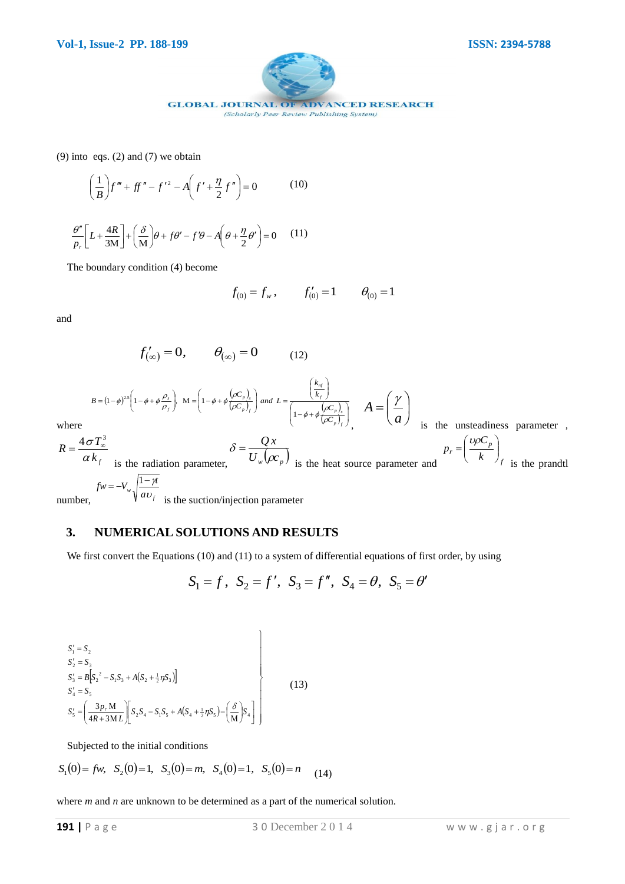

(9) into eqs. (2) and (7) we obtain

$$
\left(\frac{1}{B}\right)f''' + ff'' - f'^2 - A\left(f' + \frac{\eta}{2}f''\right) = 0\tag{10}
$$

 $\frac{\partial H}{\partial M}\Big| + \Big(\frac{\partial}{M}\Big)\theta + f\theta' - f'\theta - A\Big(\theta + \frac{\eta}{2}\theta'\Big) = 0$  $\left(\frac{4R}{M}\right) + \left(\frac{\delta}{M}\right)\theta + f\theta' - f'\theta - A\left(\theta + \frac{\eta}{2}\theta'\right) =$  $\left(\theta+\frac{\eta}{2}\theta'\right)$  $\partial \theta + f \theta' - f' \theta - A \left( \theta + \frac{\eta}{2} \theta' \right)$  $\left(\frac{\delta}{\rm M}\right)$ ſ  $\frac{1}{\ln \frac{C}{C}}$ ┨ Ŀ Г  $\frac{\theta''}{p_r} \left[ L + \frac{4R}{3M} \right] + \left( \frac{\delta}{M} \right) \theta + f \theta' - f' \theta - A \left( \theta + \frac{\eta}{2} \theta \right)$ (11)

The boundary condition (4) become

$$
f_{(0)} = f_w, \t f'_{(0)} = 1 \t \theta_{(0)} = 1
$$

and

$$
f'_{(\infty)} = 0, \qquad \theta_{(\infty)} = 0 \tag{12}
$$

$$
B = (1 - \phi)^{2s} \left( 1 - \phi + \phi \frac{\rho_s}{\rho_f} \right), \quad M = \left( 1 - \phi + \phi \frac{(\rho C_p)_s}{(\rho C_p)_f} \right) \text{ and } L = \frac{\left( \frac{k_{sf}}{k_f} \right)}{\left( 1 - \phi + \phi \frac{(\rho C_p)_s}{(\rho C_p)_f} \right)}, \quad A = \left( \frac{\gamma}{a} \right)
$$

where

is the unsteadiness parameter ,

$$
R = \frac{4\sigma T_{\infty}^{3}}{\alpha k_{f}}
$$
 is the radiation parameter,  $\delta = \frac{Qx}{U_{w}(\rho c_{p})}$  is the heat source parameter and  
\n
$$
fw = -V_{w}\sqrt{\frac{1-\gamma t}{aU_{f}}}
$$
 is the section/injection parameter

number,

## **3. NUMERICAL SOLUTIONS AND RESULTS**

We first convert the Equations (10) and (11) to a system of differential equations of first order, by using

$$
S_1 = f
$$
,  $S_2 = f'$ ,  $S_3 = f''$ ,  $S_4 = \theta$ ,  $S_5 = \theta'$ 

$$
S'_{1} = S_{2}
$$
  
\n
$$
S'_{2} = S_{3}
$$
  
\n
$$
S'_{3} = B \Big[ S_{2}^{2} - S_{1} S_{3} + A (S_{2} + \frac{1}{2} \eta S_{3}) \Big]
$$
  
\n
$$
S'_{4} = S_{5}
$$
  
\n
$$
S'_{5} = \Bigg( \frac{3p_{r} M}{4R + 3ML} \Bigg) \Bigg[ S_{2} S_{4} - S_{1} S_{5} + A (S_{4} + \frac{1}{2} \eta S_{5}) - \Bigg( \frac{\delta}{M} \Bigg) S_{4} \Bigg]
$$
\n(13)

Subjected to the initial conditions

$$
S_1(0) = fw
$$
,  $S_2(0) = 1$ ,  $S_3(0) = m$ ,  $S_4(0) = 1$ ,  $S_5(0) = n$  (14)

where *m* and *n* are unknown to be determined as a part of the numerical solution.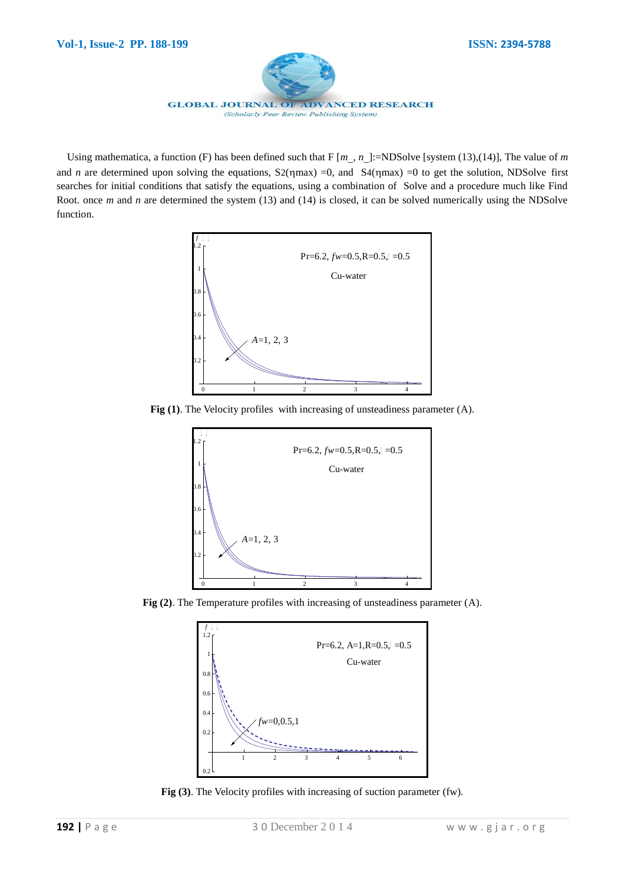

Using mathematica, a function (F) has been defined such that  $F[m, n]$ :=NDSolve [system (13),(14)], The value of *m* and *n* are determined upon solving the equations,  $S2(m\alpha x) = 0$ , and  $S4(m\alpha x) = 0$  to get the solution, NDSolve first searches for initial conditions that satisfy the equations, using a combination of Solve and a procedure much like Find Root. once *m* and *n* are determined the system (13) and (14) is closed, it can be solved numerically using the NDSolve function.





**Fig (2)**. The Temperature profiles with increasing of unsteadiness parameter (A).



**Fig (3)**. The Velocity profiles with increasing of suction parameter (fw).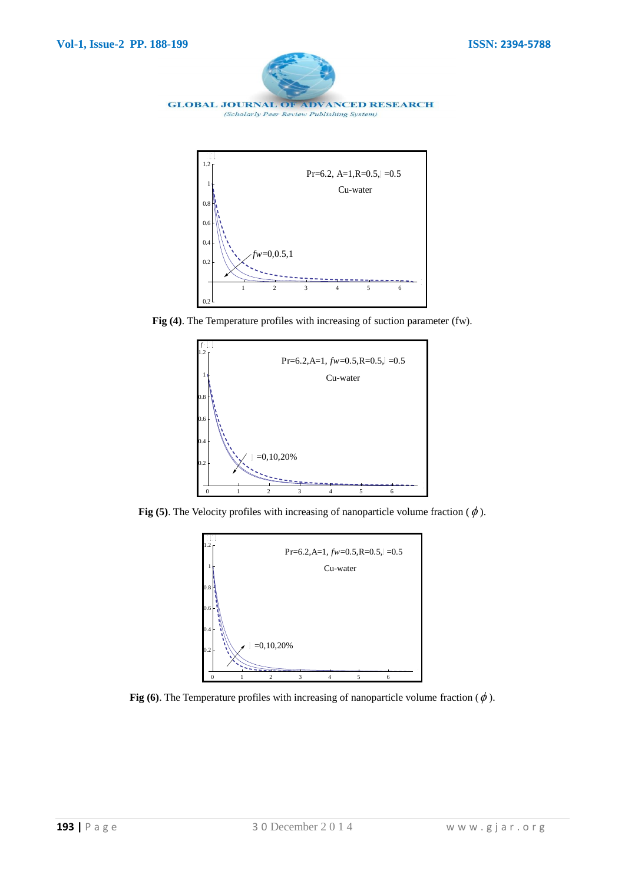



**Fig (4)**. The Temperature profiles with increasing of suction parameter (fw).





**Fig (6)**. The Temperature profiles with increasing of nanoparticle volume fraction ( $\phi$ ).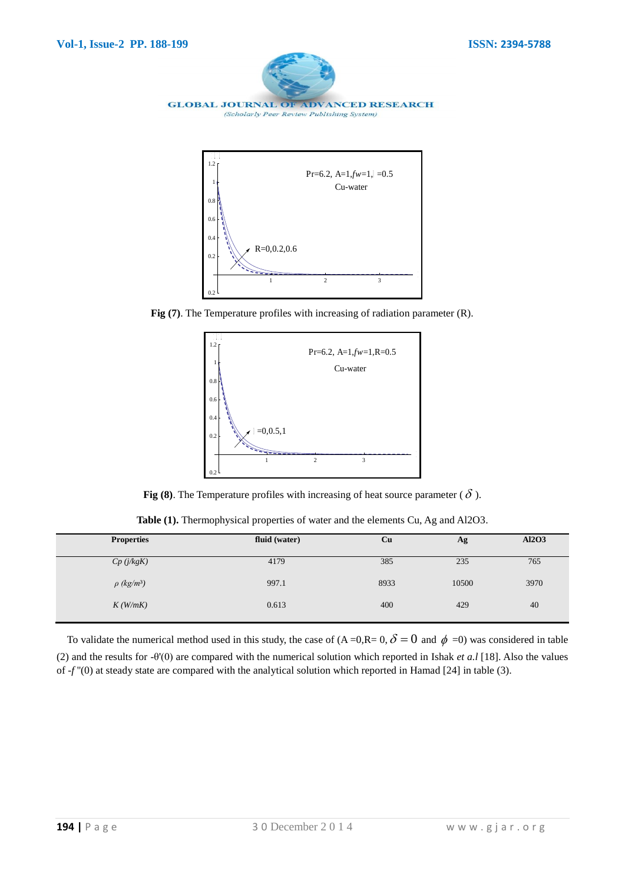





**Fig (8).** The Temperature profiles with increasing of heat source parameter ( $\delta$ ).

**Table (1).** Thermophysical properties of water and the elements Cu, Ag and Al2O3.

| <b>Properties</b>           | fluid (water) | Cu   | Ag    | <b>Al2O3</b> |
|-----------------------------|---------------|------|-------|--------------|
| Cp(j/kgK)                   | 4179          | 385  | 235   | 765          |
| $\rho$ (kg/m <sup>3</sup> ) | 997.1         | 8933 | 10500 | 3970         |
| K(W/mK)                     | 0.613         | 400  | 429   | 40           |

To validate the numerical method used in this study, the case of  $(A=0,R=0,\delta=0$  and  $\phi=0)$  was considered in table (2) and the results for -θ'(0) are compared with the numerical solution which reported in Ishak *et a.l* [18]. Also the values of -*f* ''(0) at steady state are compared with the analytical solution which reported in Hamad [24] in table (3).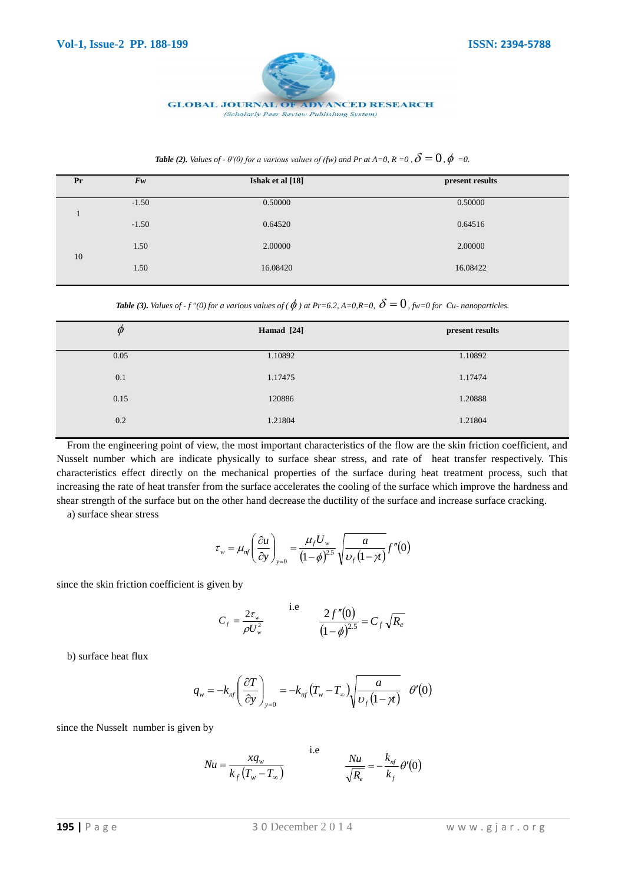

#### **GLOBAL JOURNAL OF ADVANCED RESEARCH**

(Scholarly Peer Review Publishing System)

| <b>Table (2).</b> Values of - $\theta'(0)$ for a various values of (fw) and Pr at A=0, R =0, $\delta = 0$ , $\phi = 0$ . |  |  |  |
|--------------------------------------------------------------------------------------------------------------------------|--|--|--|
|--------------------------------------------------------------------------------------------------------------------------|--|--|--|

| Pr | $F_{W}$ | Ishak et al [18] | present results |
|----|---------|------------------|-----------------|
|    | $-1.50$ | 0.50000          | 0.50000         |
|    | $-1.50$ | 0.64520          | 0.64516         |
|    | 1.50    | 2.00000          | 2.00000         |
| 10 | 1.50    | 16.08420         | 16.08422        |

Table (3). Values of - f ''(0) for a various values of (  $\phi$  ) at Pr=6.2, A=0,R=0,  $\delta=0$  , fw=0 for Cu- nanoparticles.

| $\varphi$ | Hamad [24] | present results |
|-----------|------------|-----------------|
| 0.05      | 1.10892    | 1.10892         |
| 0.1       | 1.17475    | 1.17474         |
| 0.15      | 120886     | 1.20888         |
| 0.2       | 1.21804    | 1.21804         |

From the engineering point of view, the most important characteristics of the flow are the skin friction coefficient, and Nusselt number which are indicate physically to surface shear stress, and rate of heat transfer respectively. This characteristics effect directly on the mechanical properties of the surface during heat treatment process, such that increasing the rate of heat transfer from the surface accelerates the cooling of the surface which improve the hardness and shear strength of the surface but on the other hand decrease the ductility of the surface and increase surface cracking.

a) surface shear stress

$$
\tau_{w} = \mu_{nf} \left( \frac{\partial u}{\partial y} \right)_{y=0} = \frac{\mu_{f} U_{w}}{(1-\phi)^{2.5}} \sqrt{\frac{a}{\nu_{f}(1-\gamma)}} f''(0)
$$

since the skin friction coefficient is given by

$$
C_f = \frac{2\tau_w}{\rho U_w^2}
$$
 i.e 
$$
\frac{2f''(0)}{(1-\phi)^{2.5}} = C_f \sqrt{R_e}
$$

b) surface heat flux

$$
q_{w} = -k_{nf} \left(\frac{\partial T}{\partial y}\right)_{y=0} = -k_{nf} \left(T_{w} - T_{\infty}\right) \sqrt{\frac{a}{\nu_{f}\left(1-\gamma\right)}} \quad \theta'(0)
$$

since the Nusselt number is given by

$$
Nu = \frac{xq_w}{k_f(T_w - T_\infty)} \qquad \qquad \text{i.e} \qquad \qquad \frac{Nu}{\sqrt{R_e}} = -\frac{k_{nf}}{k_f} \theta'(0)
$$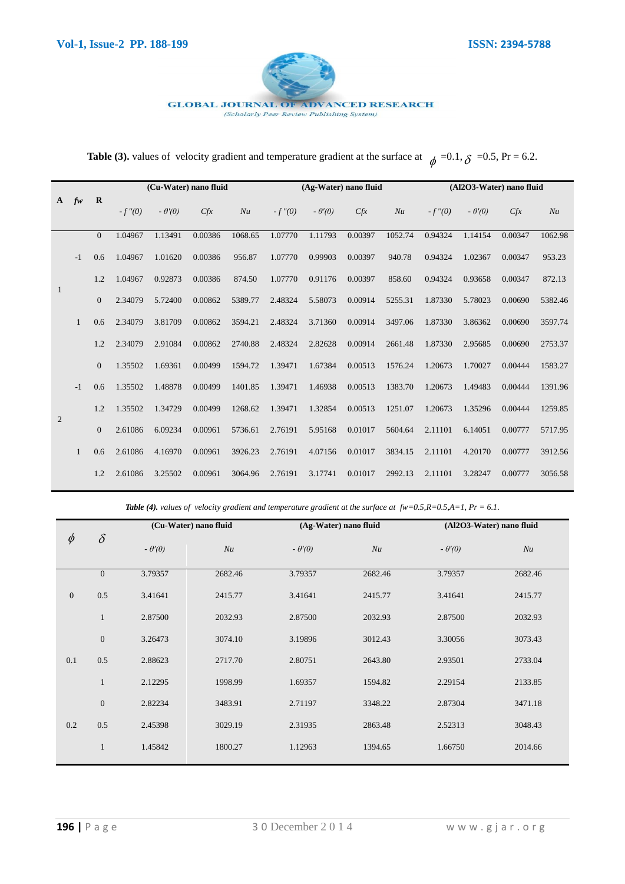

### **GLOBAL JOURNAL OF ADVANCED RESEARCH**

(Scholarly Peer Review Publishing System)

**Table (3).** values of velocity gradient and temperature gradient at the surface at  $\phi = 0.1$ ,  $\delta = 0.5$ , Pr = 6.2.

|              |              |                |           |               | (Cu-Water) nano fluid |         |           | (Ag-Water) nano fluid |         |         |           | (Al2O3-Water) nano fluid |         |         |
|--------------|--------------|----------------|-----------|---------------|-----------------------|---------|-----------|-----------------------|---------|---------|-----------|--------------------------|---------|---------|
| $\mathbf{A}$ | fw           | $\mathbf R$    | $-f''(0)$ | $-\theta'(0)$ | Cfx                   | Nu      | $-f''(0)$ | $-\theta'(0)$         | Cfx     | Nu      | $-f''(0)$ | $-\theta'(0)$            | Cfx     | Nu      |
|              |              | $\overline{0}$ | 1.04967   | 1.13491       | 0.00386               | 1068.65 | 1.07770   | 1.11793               | 0.00397 | 1052.74 | 0.94324   | 1.14154                  | 0.00347 | 1062.98 |
|              | $-1$         | 0.6            | 1.04967   | 1.01620       | 0.00386               | 956.87  | 1.07770   | 0.99903               | 0.00397 | 940.78  | 0.94324   | 1.02367                  | 0.00347 | 953.23  |
|              |              | 1.2            | 1.04967   | 0.92873       | 0.00386               | 874.50  | 1.07770   | 0.91176               | 0.00397 | 858.60  | 0.94324   | 0.93658                  | 0.00347 | 872.13  |
| 1            |              | $\overline{0}$ | 2.34079   | 5.72400       | 0.00862               | 5389.77 | 2.48324   | 5.58073               | 0.00914 | 5255.31 | 1.87330   | 5.78023                  | 0.00690 | 5382.46 |
|              | $\mathbf{1}$ | 0.6            | 2.34079   | 3.81709       | 0.00862               | 3594.21 | 2.48324   | 3.71360               | 0.00914 | 3497.06 | 1.87330   | 3.86362                  | 0.00690 | 3597.74 |
|              |              | 1.2            | 2.34079   | 2.91084       | 0.00862               | 2740.88 | 2.48324   | 2.82628               | 0.00914 | 2661.48 | 1.87330   | 2.95685                  | 0.00690 | 2753.37 |
|              |              | $\overline{0}$ | 1.35502   | 1.69361       | 0.00499               | 1594.72 | 1.39471   | 1.67384               | 0.00513 | 1576.24 | 1.20673   | 1.70027                  | 0.00444 | 1583.27 |
|              | $-1$         | 0.6            | 1.35502   | 1.48878       | 0.00499               | 1401.85 | 1.39471   | 1.46938               | 0.00513 | 1383.70 | 1.20673   | 1.49483                  | 0.00444 | 1391.96 |
|              |              | 1.2            | 1.35502   | 1.34729       | 0.00499               | 1268.62 | 1.39471   | 1.32854               | 0.00513 | 1251.07 | 1.20673   | 1.35296                  | 0.00444 | 1259.85 |
| 2            |              | $\Omega$       | 2.61086   | 6.09234       | 0.00961               | 5736.61 | 2.76191   | 5.95168               | 0.01017 | 5604.64 | 2.11101   | 6.14051                  | 0.00777 | 5717.95 |
|              | 1            | 0.6            | 2.61086   | 4.16970       | 0.00961               | 3926.23 | 2.76191   | 4.07156               | 0.01017 | 3834.15 | 2.11101   | 4.20170                  | 0.00777 | 3912.56 |
|              |              | 1.2            | 2.61086   | 3.25502       | 0.00961               | 3064.96 | 2.76191   | 3.17741               | 0.01017 | 2992.13 | 2.11101   | 3.28247                  | 0.00777 | 3056.58 |

| $\phi$       | $\delta$       | (Cu-Water) nano fluid |         | (Ag-Water) nano fluid |         | (Al2O3-Water) nano fluid |         |  |
|--------------|----------------|-----------------------|---------|-----------------------|---------|--------------------------|---------|--|
|              |                | $-\theta'(0)$         | Nu      | $-\theta'(0)$         | Nu      | $-\theta'(0)$            | Nu      |  |
|              | $\overline{0}$ | 3.79357               | 2682.46 | 3.79357               | 2682.46 | 3.79357                  | 2682.46 |  |
| $\mathbf{0}$ | 0.5            | 3.41641               | 2415.77 | 3.41641               | 2415.77 | 3.41641                  | 2415.77 |  |
|              | $\mathbf{1}$   | 2.87500               | 2032.93 | 2.87500               | 2032.93 | 2.87500                  | 2032.93 |  |
|              | $\mathbf{0}$   | 3.26473               | 3074.10 | 3.19896               | 3012.43 | 3.30056                  | 3073.43 |  |
| 0.1          | 0.5            | 2.88623               | 2717.70 | 2.80751               | 2643.80 | 2.93501                  | 2733.04 |  |
|              | $\mathbf{1}$   | 2.12295               | 1998.99 | 1.69357               | 1594.82 | 2.29154                  | 2133.85 |  |
|              | $\mathbf{0}$   | 2.82234               | 3483.91 | 2.71197               | 3348.22 | 2.87304                  | 3471.18 |  |
| 0.2          | 0.5            | 2.45398               | 3029.19 | 2.31935               | 2863.48 | 2.52313                  | 3048.43 |  |
|              | $\mathbf{1}$   | 1.45842               | 1800.27 | 1.12963               | 1394.65 | 1.66750                  | 2014.66 |  |

*Table (4). values of velocity gradient and temperature gradient at the surface at fw=0.5,R=0.5,A=1, Pr = 6.1.*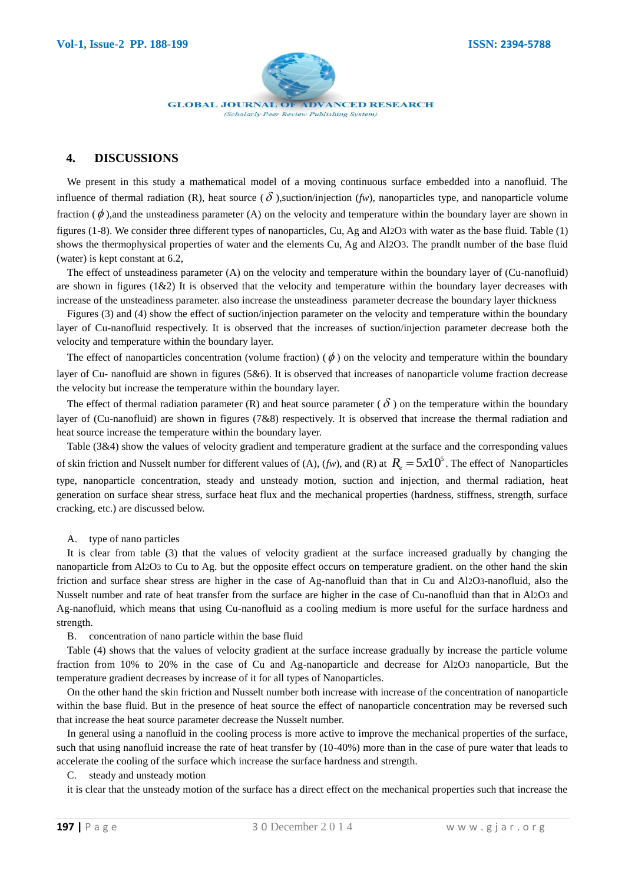

**GLOBAL JOURNAL OF ADVANCED RESEARCH** (Scholarly Peer Review Publishing System)

# **4. DISCUSSIONS**

We present in this study a mathematical model of a moving continuous surface embedded into a nanofluid. The influence of thermal radiation (R), heat source  $(\delta)$ , suction/injection (*fw*), nanoparticles type, and nanoparticle volume fraction  $(\phi)$ , and the unsteadiness parameter (A) on the velocity and temperature within the boundary layer are shown in figures (1-8). We consider three different types of nanoparticles, Cu, Ag and Al2O3 with water as the base fluid. Table (1) shows the thermophysical properties of water and the elements Cu, Ag and Al2O3. The prandlt number of the base fluid (water) is kept constant at 6.2,

The effect of unsteadiness parameter (A) on the velocity and temperature within the boundary layer of (Cu-nanofluid) are shown in figures  $(1\&2)$  It is observed that the velocity and temperature within the boundary layer decreases with increase of the unsteadiness parameter. also increase the unsteadiness parameter decrease the boundary layer thickness

Figures (3) and (4) show the effect of suction/injection parameter on the velocity and temperature within the boundary layer of Cu-nanofluid respectively. It is observed that the increases of suction/injection parameter decrease both the velocity and temperature within the boundary layer.

The effect of nanoparticles concentration (volume fraction) ( $\phi$ ) on the velocity and temperature within the boundary layer of Cu- nanofluid are shown in figures (5&6). It is observed that increases of nanoparticle volume fraction decrease the velocity but increase the temperature within the boundary layer.

The effect of thermal radiation parameter (R) and heat source parameter ( $\delta$ ) on the temperature within the boundary layer of (Cu-nanofluid) are shown in figures (7&8) respectively. It is observed that increase the thermal radiation and heat source increase the temperature within the boundary layer.

Table (3&4) show the values of velocity gradient and temperature gradient at the surface and the corresponding values of skin friction and Nusselt number for different values of (A),  $(fw)$ , and (R) at  $R_e = 5x10^5$ . The effect of Nanoparticles type, nanoparticle concentration, steady and unsteady motion, suction and injection, and thermal radiation, heat generation on surface shear stress, surface heat flux and the mechanical properties (hardness, stiffness, strength, surface cracking, etc.) are discussed below.

## A. type of nano particles

It is clear from table (3) that the values of velocity gradient at the surface increased gradually by changing the nanoparticle from Al2O3 to Cu to Ag. but the opposite effect occurs on temperature gradient. on the other hand the skin friction and surface shear stress are higher in the case of Ag-nanofluid than that in Cu and Al2O3-nanofluid, also the Nusselt number and rate of heat transfer from the surface are higher in the case of Cu-nanofluid than that in Al2O3 and Ag-nanofluid, which means that using Cu-nanofluid as a cooling medium is more useful for the surface hardness and strength.

B. concentration of nano particle within the base fluid

Table (4) shows that the values of velocity gradient at the surface increase gradually by increase the particle volume fraction from 10% to 20% in the case of Cu and Ag-nanoparticle and decrease for Al2O3 nanoparticle, But the temperature gradient decreases by increase of it for all types of Nanoparticles.

On the other hand the skin friction and Nusselt number both increase with increase of the concentration of nanoparticle within the base fluid. But in the presence of heat source the effect of nanoparticle concentration may be reversed such that increase the heat source parameter decrease the Nusselt number.

In general using a nanofluid in the cooling process is more active to improve the mechanical properties of the surface, such that using nanofluid increase the rate of heat transfer by (10-40%) more than in the case of pure water that leads to accelerate the cooling of the surface which increase the surface hardness and strength.

## C. steady and unsteady motion

it is clear that the unsteady motion of the surface has a direct effect on the mechanical properties such that increase the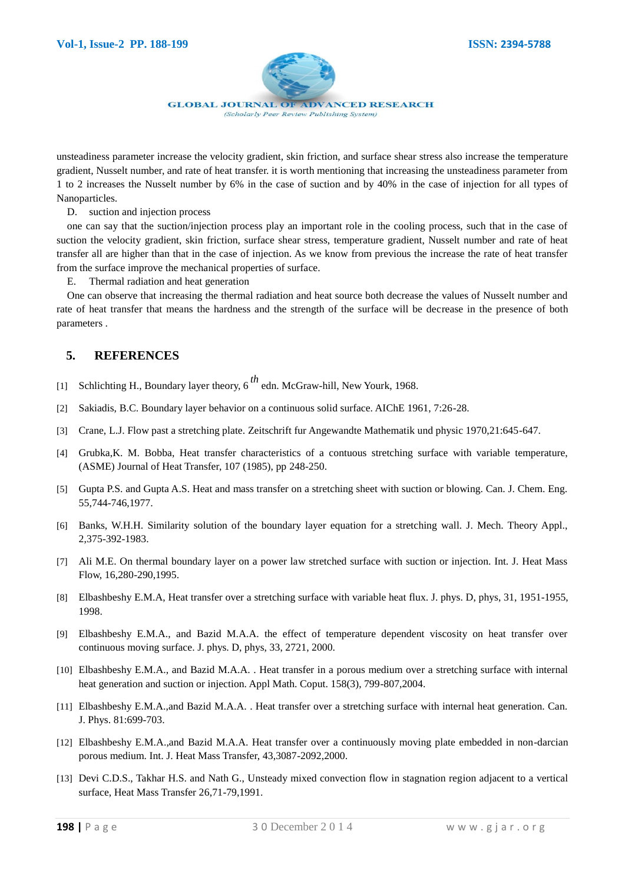

unsteadiness parameter increase the velocity gradient, skin friction, and surface shear stress also increase the temperature gradient, Nusselt number, and rate of heat transfer. it is worth mentioning that increasing the unsteadiness parameter from 1 to 2 increases the Nusselt number by 6% in the case of suction and by 40% in the case of injection for all types of Nanoparticles.

D. suction and injection process

one can say that the suction/injection process play an important role in the cooling process, such that in the case of suction the velocity gradient, skin friction, surface shear stress, temperature gradient, Nusselt number and rate of heat transfer all are higher than that in the case of injection. As we know from previous the increase the rate of heat transfer from the surface improve the mechanical properties of surface.

E. Thermal radiation and heat generation

One can observe that increasing the thermal radiation and heat source both decrease the values of Nusselt number and rate of heat transfer that means the hardness and the strength of the surface will be decrease in the presence of both parameters .

# **5. REFERENCES**

- [1] Schlichting H., Boundary layer theory, 6 *th* edn. McGraw-hill, New Yourk, 1968.
- [2] Sakiadis, B.C. Boundary layer behavior on a continuous solid surface. AIChE 1961, 7:26-28.
- [3] Crane, L.J. Flow past a stretching plate. Zeitschrift fur Angewandte Mathematik und physic 1970,21:645-647.
- [4] Grubka,K. M. Bobba, Heat transfer characteristics of a contuous stretching surface with variable temperature, (ASME) Journal of Heat Transfer, 107 (1985), pp 248-250.
- [5] Gupta P.S. and Gupta A.S. Heat and mass transfer on a stretching sheet with suction or blowing. Can. J. Chem. Eng. 55,744-746,1977.
- [6] Banks, W.H.H. Similarity solution of the boundary layer equation for a stretching wall. J. Mech. Theory Appl., 2,375-392-1983.
- [7] Ali M.E. On thermal boundary layer on a power law stretched surface with suction or injection. Int. J. Heat Mass Flow, 16,280-290,1995.
- [8] Elbashbeshy E.M.A, Heat transfer over a stretching surface with variable heat flux. J. phys. D, phys, 31, 1951-1955, 1998.
- [9] Elbashbeshy E.M.A., and Bazid M.A.A. the effect of temperature dependent viscosity on heat transfer over continuous moving surface. J. phys. D, phys, 33, 2721, 2000.
- [10] Elbashbeshy E.M.A., and Bazid M.A.A. . Heat transfer in a porous medium over a stretching surface with internal heat generation and suction or injection. Appl Math. Coput. 158(3), 799-807,2004.
- [11] Elbashbeshy E.M.A.,and Bazid M.A.A. . Heat transfer over a stretching surface with internal heat generation. Can. J. Phys. 81:699-703.
- [12] Elbashbeshy E.M.A.,and Bazid M.A.A. Heat transfer over a continuously moving plate embedded in non-darcian porous medium. Int. J. Heat Mass Transfer, 43,3087-2092,2000.
- [13] Devi C.D.S., Takhar H.S. and Nath G., Unsteady mixed convection flow in stagnation region adjacent to a vertical surface, Heat Mass Transfer 26,71-79,1991.